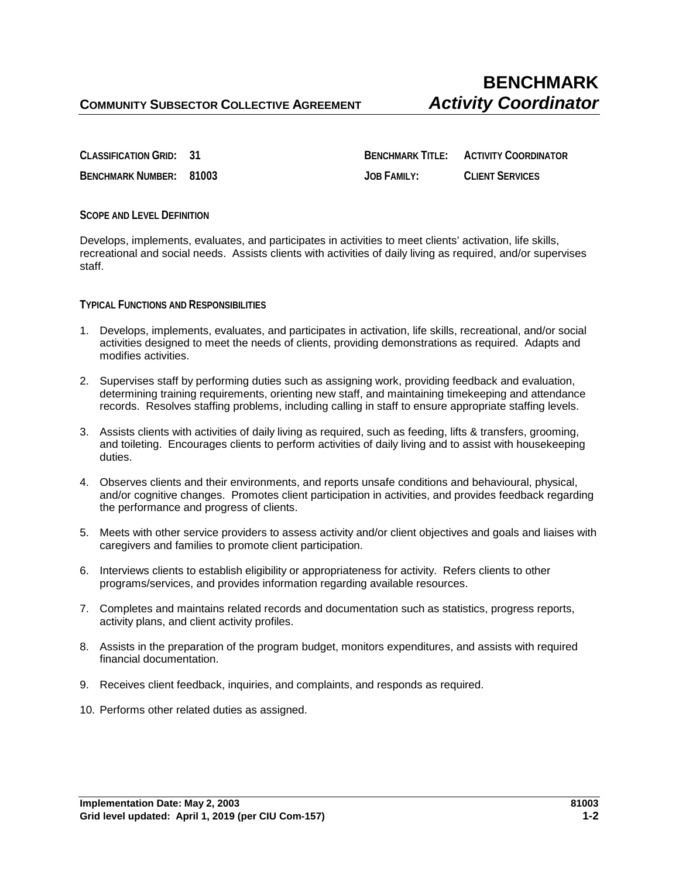**CLASSIFICATION GRID: 31 BENCHMARK TITLE: ACTIVITY COORDINATOR BENCHMARK NUMBER: 81003 JOB FAMILY: CLIENT SERVICES**

**SCOPE AND LEVEL DEFINITION**

Develops, implements, evaluates, and participates in activities to meet clients' activation, life skills, recreational and social needs. Assists clients with activities of daily living as required, and/or supervises staff.

**TYPICAL FUNCTIONS AND RESPONSIBILITIES** 

- 1. Develops, implements, evaluates, and participates in activation, life skills, recreational, and/or social activities designed to meet the needs of clients, providing demonstrations as required. Adapts and modifies activities.
- 2. Supervises staff by performing duties such as assigning work, providing feedback and evaluation, determining training requirements, orienting new staff, and maintaining timekeeping and attendance records. Resolves staffing problems, including calling in staff to ensure appropriate staffing levels.
- 3. Assists clients with activities of daily living as required, such as feeding, lifts & transfers, grooming, and toileting. Encourages clients to perform activities of daily living and to assist with housekeeping duties.
- 4. Observes clients and their environments, and reports unsafe conditions and behavioural, physical, and/or cognitive changes. Promotes client participation in activities, and provides feedback regarding the performance and progress of clients.
- 5. Meets with other service providers to assess activity and/or client objectives and goals and liaises with caregivers and families to promote client participation.
- 6. Interviews clients to establish eligibility or appropriateness for activity. Refers clients to other programs/services, and provides information regarding available resources.
- 7. Completes and maintains related records and documentation such as statistics, progress reports, activity plans, and client activity profiles.
- 8. Assists in the preparation of the program budget, monitors expenditures, and assists with required financial documentation.
- 9. Receives client feedback, inquiries, and complaints, and responds as required.
- 10. Performs other related duties as assigned.